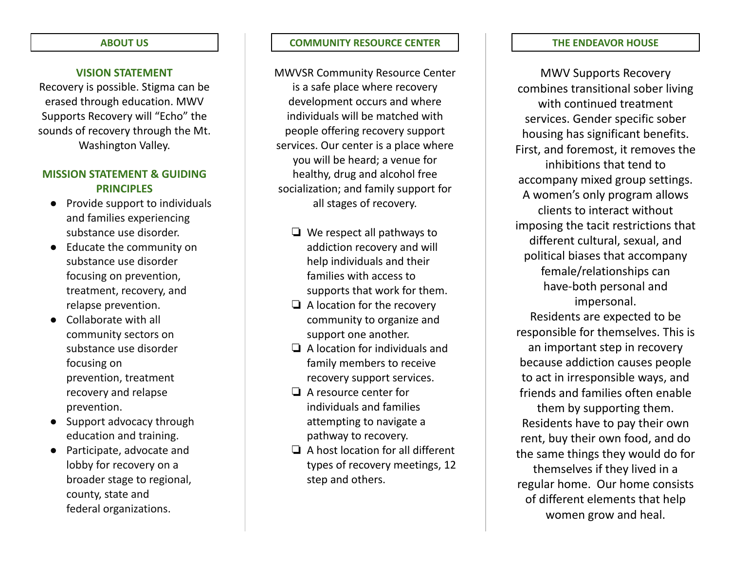#### **ABOUT US**

#### **VISION STATEMENT**

Recovery is possible. Stigma can be erased through education. MWV Supports Recovery will "Echo" the sounds of recovery through the Mt. Washington Valley.

#### **MISSION STATEMENT & GUIDING PRINCIPLES**

- Provide support to individuals and families experiencing substance use disorder.
- Educate the community on substance use disorder focusing on prevention, treatment, recovery, and relapse prevention.
- Collaborate with all community sectors on substance use disorder focusing on prevention, treatment recovery and relapse prevention.
- Support advocacy through education and training.
- Participate, advocate and lobby for recovery on a broader stage to regional, county, state and federal organizations.

#### **COMMUNITY RESOURCE CENTER**

MWVSR Community Resource Center is a safe place where recovery development occurs and where individuals will be matched with people offering recovery support services. Our center is a place where you will be heard; a venue for healthy, drug and alcohol free socialization; and family support for all stages of recovery.

- ❏ We respect all pathways to addiction recovery and will help individuals and their families with access to supports that work for them.
- ❏ A location for the recovery community to organize and support one another.
- ❏ A location for individuals and family members to receive recovery support services.
- ❏ A resource center for individuals and families attempting to navigate a pathway to recovery.
- ❏ A host location for all different types of recovery meetings, 12 step and others.

#### **THE ENDEAVOR HOUSE**

MWV Supports Recovery combines transitional sober living with continued treatment services. Gender specific sober housing has significant benefits. First, and foremost, it removes the inhibitions that tend to accompany mixed group settings. A women's only program allows clients to interact without imposing the tacit restrictions that different cultural, sexual, and political biases that accompany female/relationships can have-both personal and impersonal. Residents are expected to be

responsible for themselves. This is an important step in recovery because addiction causes people to act in irresponsible ways, and friends and families often enable them by supporting them.

Residents have to pay their own rent, buy their own food, and do the same things they would do for themselves if they lived in a regular home. Our home consists of different elements that help women grow and heal.